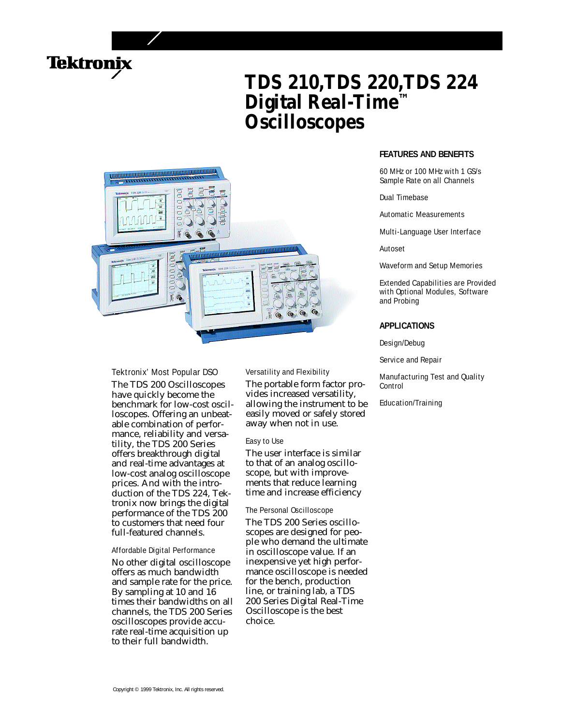

# **TDS 210,TDS 220,TDS 224 Digital Real-Time™ Oscilloscopes**



# Tektronix' Most Popular DSO

The TDS 200 Oscilloscopes have quickly become the benchmark for low-cost oscilloscopes. Offering an unbeatable combination of performance, reliability and versatility, the TDS 200 Series offers breakthrough digital and real-time advantages at low-cost analog oscilloscope prices. And with the introduction of the TDS 224, Tektronix now brings the digital performance of the TDS 200 to customers that need four full-featured channels.

## Affordable Digital Performance

No other digital oscilloscope offers as much bandwidth and sample rate for the price. By sampling at 10 and 16 times their bandwidths on all channels, the TDS 200 Series oscilloscopes provide accurate real-time acquisition up to their full bandwidth.

# Versatility and Flexibility

The portable form factor provides increased versatility, allowing the instrument to be easily moved or safely stored away when not in use.

#### Easy to Use

The user interface is similar to that of an analog oscilloscope, but with improvements that reduce learning time and increase efficiency

# The Personal Oscilloscope

The TDS 200 Series oscilloscopes are designed for people who demand the ultimate in oscilloscope value. If an inexpensive yet high performance oscilloscope is needed for the bench, production line, or training lab, a TDS 200 Series Digital Real-Time Oscilloscope is the best choice.

# **FEATURES AND BENEFITS**

60 MHz or 100 MHz with 1 GS/s Sample Rate on all Channels

#### Dual Timebase

Automatic Measurements

Multi-Language User Interface

Autoset

Waveform and Setup Memories

Extended Capabilities are Provided with Optional Modules, Software and Probing

### **APPLICATIONS**

Design/Debug

Service and Repair

Manufacturing Test and Quality Control

Education/Training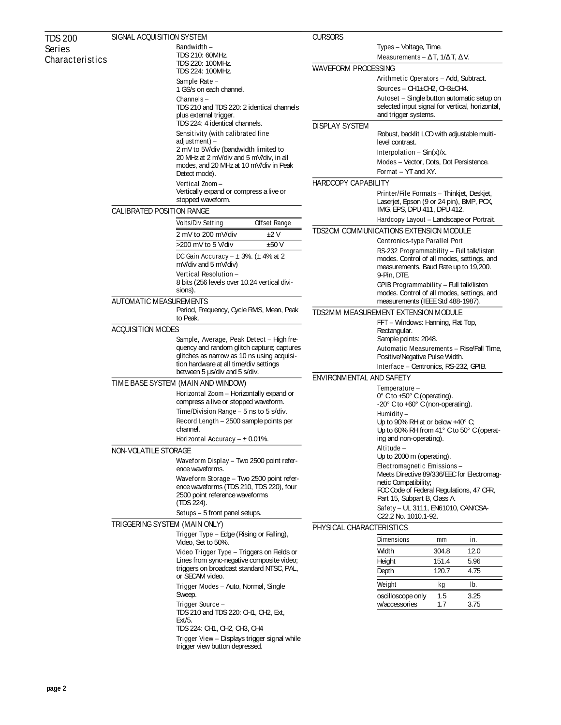| <b>TDS 200</b>  | SIGNAL ACQUISITION SYSTEM                                                       |                                                                                        | <b>CURSORS</b>                                                                                                                     |                                                                                                                                                      |       |      |  |
|-----------------|---------------------------------------------------------------------------------|----------------------------------------------------------------------------------------|------------------------------------------------------------------------------------------------------------------------------------|------------------------------------------------------------------------------------------------------------------------------------------------------|-------|------|--|
| <b>Series</b>   |                                                                                 | <b>Bandwidth -</b>                                                                     |                                                                                                                                    | Types - Voltage, Time.                                                                                                                               |       |      |  |
| Characteristics | TDS 210: 60MHz.<br>TDS 220: 100MHz.                                             |                                                                                        | <b>Measurements</b> - $T, 1/ T, V$ .                                                                                               |                                                                                                                                                      |       |      |  |
|                 |                                                                                 | TDS 224: 100MHz.                                                                       | <b>WAVEFORM PROCESSING</b>                                                                                                         |                                                                                                                                                      |       |      |  |
|                 |                                                                                 | Sample Rate -                                                                          | Arithmetic Operators - Add, Subtract.                                                                                              |                                                                                                                                                      |       |      |  |
|                 |                                                                                 | 1 GS/s on each channel.                                                                |                                                                                                                                    | <b>Sources - CH1</b> $\pm$ CH2, CH3 $\pm$ CH4.                                                                                                       |       |      |  |
|                 |                                                                                 | Channels-                                                                              |                                                                                                                                    | Autoset - Single button automatic setup on                                                                                                           |       |      |  |
|                 |                                                                                 | TDS 210 and TDS 220: 2 identical channels<br>plus external trigger.                    |                                                                                                                                    | selected input signal for vertical, horizontal,<br>and trigger systems.                                                                              |       |      |  |
|                 |                                                                                 | TDS 224: 4 identical channels.                                                         | <b>DISPLAY SYSTEM</b>                                                                                                              |                                                                                                                                                      |       |      |  |
|                 |                                                                                 | Sensitivity (with calibrated fine                                                      |                                                                                                                                    | Robust, backlit LCD with adjustable multi-                                                                                                           |       |      |  |
|                 |                                                                                 | adjustment) –                                                                          |                                                                                                                                    | level contrast.                                                                                                                                      |       |      |  |
|                 | 2 mV to 5V/div (bandwidth limited to<br>20 MHz at 2 mV/div and 5 mV/div, in all |                                                                                        |                                                                                                                                    | <b>Interpolation</b> – $Sin(x)/x$ .                                                                                                                  |       |      |  |
|                 |                                                                                 | modes, and 20 MHz at 10 mV/div in Peak<br>Detect mode).                                |                                                                                                                                    | <b>Modes - Vector, Dots, Dot Persistence.</b>                                                                                                        |       |      |  |
|                 |                                                                                 |                                                                                        |                                                                                                                                    | <b>Format</b> – YT and XY.                                                                                                                           |       |      |  |
|                 |                                                                                 | Vertical Zoom-                                                                         | <b>HARDCOPY CAPABILITY</b>                                                                                                         |                                                                                                                                                      |       |      |  |
|                 |                                                                                 | Vertically expand or compress a live or<br>stopped waveform.                           |                                                                                                                                    | Printer/File Formats - Thinkjet, Deskjet,<br>Laserjet, Epson (9 or 24 pin), BMP, PCX,                                                                |       |      |  |
|                 | <b>CALIBRATED POSITION RANGE</b>                                                |                                                                                        |                                                                                                                                    | IMG, EPS, DPU 411, DPU 412.                                                                                                                          |       |      |  |
|                 |                                                                                 | <b>Volts/Div Setting</b><br><b>Offset Range</b>                                        |                                                                                                                                    | Hardcopy Layout – Landscape or Portrait.                                                                                                             |       |      |  |
|                 |                                                                                 | 2 mV to 200 mV/div<br>±2V                                                              | <b>TDS2CM COMMUNICATIONS EXTENSION MODULE</b><br><b>Centronics-type Parallel Port</b><br>RS-232 Programmability - Full talk/listen |                                                                                                                                                      |       |      |  |
|                 |                                                                                 | >200 mV to 5 V/div<br>±50V                                                             |                                                                                                                                    |                                                                                                                                                      |       |      |  |
|                 |                                                                                 | DC Gain Accuracy $- \pm 3\%$ . ( $\pm 4\%$ at 2                                        |                                                                                                                                    |                                                                                                                                                      |       |      |  |
|                 |                                                                                 | mV/div and 5 mV/div)                                                                   |                                                                                                                                    | modes. Control of all modes, settings, and<br>measurements. Baud Rate up to 19,200.<br>9-Pin, DTE.<br><b>GPIB Programmability - Full talk/listen</b> |       |      |  |
|                 |                                                                                 | Vertical Resolution -                                                                  |                                                                                                                                    |                                                                                                                                                      |       |      |  |
|                 |                                                                                 | 8 bits (256 levels over 10.24 vertical divi-                                           |                                                                                                                                    |                                                                                                                                                      |       |      |  |
|                 |                                                                                 | sions).                                                                                |                                                                                                                                    | modes. Control of all modes, settings, and                                                                                                           |       |      |  |
|                 | <b>AUTOMATIC MEASUREMENTS</b>                                                   |                                                                                        | measurements (IEEE Std 488-1987).                                                                                                  |                                                                                                                                                      |       |      |  |
|                 | Period, Frequency, Cycle RMS, Mean, Peak<br>to Peak.                            |                                                                                        | <b>TDS2MM MEASUREMENT EXTENSION MODULE</b><br>FFT - Windows: Hanning, Flat Top,                                                    |                                                                                                                                                      |       |      |  |
|                 | <b>ACQUISITION MODES</b>                                                        |                                                                                        |                                                                                                                                    | Rectangular.                                                                                                                                         |       |      |  |
|                 | Sample, Average, Peak Detect - High fre-                                        |                                                                                        |                                                                                                                                    | Sample points: 2048.                                                                                                                                 |       |      |  |
|                 |                                                                                 | quency and random glitch capture; captures                                             | Automatic Measurements - Rise/Fall Time,<br>Positive/Negative Pulse Width.                                                         |                                                                                                                                                      |       |      |  |
|                 |                                                                                 | glitches as narrow as 10 ns using acquisi-                                             |                                                                                                                                    |                                                                                                                                                      |       |      |  |
|                 |                                                                                 | tion hardware at all time/div settings<br>between 5 µs/div and 5 s/div.                |                                                                                                                                    | Interface - Centronics, RS-232, GPIB.                                                                                                                |       |      |  |
|                 | TIME BASE SYSTEM (MAIN AND WINDOW)                                              |                                                                                        | <b>ENVIRONMENTAL AND SAFETY</b>                                                                                                    |                                                                                                                                                      |       |      |  |
|                 |                                                                                 | Horizontal Zoom - Horizontally expand or                                               |                                                                                                                                    | Temperature -                                                                                                                                        |       |      |  |
|                 |                                                                                 | compress a live or stopped waveform.                                                   |                                                                                                                                    | $0^{\circ}$ C to +50 $^{\circ}$ C (operating).<br>-20 $^{\circ}$ C to +60 $^{\circ}$ C (non-operating).                                              |       |      |  |
|                 |                                                                                 | Time/Division Range - 5 ns to 5 s/div.                                                 | Humidity –                                                                                                                         |                                                                                                                                                      |       |      |  |
|                 |                                                                                 | Record Length - 2500 sample points per                                                 | Up to 90% RH at or below +40 $^{\circ}$ C;<br>Up to 60% RH from 41° C to 50° C (operat-<br>ing and non-operating).                 |                                                                                                                                                      |       |      |  |
|                 |                                                                                 | channel.                                                                               |                                                                                                                                    |                                                                                                                                                      |       |      |  |
|                 | Horizontal Accuracy $- \pm 0.01\%$ .                                            |                                                                                        |                                                                                                                                    | Altitude -                                                                                                                                           |       |      |  |
|                 | <b>NON-VOLATILE STORAGE</b><br>Waveform Display - Two 2500 point refer-         |                                                                                        |                                                                                                                                    | Up to 2000 m (operating).                                                                                                                            |       |      |  |
|                 |                                                                                 | ence waveforms.                                                                        |                                                                                                                                    | Electromagnetic Emissions -                                                                                                                          |       |      |  |
|                 |                                                                                 | Waveform Storage - Two 2500 point refer-                                               |                                                                                                                                    | Meets Directive 89/336/EEC for Electromag-<br>netic Compatibility;                                                                                   |       |      |  |
|                 |                                                                                 | ence waveforms (TDS 210, TDS 220), four                                                |                                                                                                                                    | FCC Code of Federal Regulations, 47 CFR,                                                                                                             |       |      |  |
|                 |                                                                                 | 2500 point reference waveforms<br>(TDS 224).                                           |                                                                                                                                    | Part 15, Subpart B, Class A.                                                                                                                         |       |      |  |
|                 |                                                                                 | Setups - 5 front panel setups.                                                         |                                                                                                                                    | Safety - UL 3111, EN61010, CAN/CSA-                                                                                                                  |       |      |  |
|                 | <b>TRIGGERING SYSTEM (MAIN ONLY)</b>                                            |                                                                                        |                                                                                                                                    | C22.2 No. 1010.1-92.                                                                                                                                 |       |      |  |
|                 | Trigger Type - Edge (Rising or Falling),                                        |                                                                                        | PHYSICAL CHARACTERISTICS                                                                                                           |                                                                                                                                                      |       |      |  |
|                 |                                                                                 | Video, Set to 50%.<br>Video Trigger Type - Triggers on Fields or                       |                                                                                                                                    | <b>Dimensions</b>                                                                                                                                    | mm    | in.  |  |
|                 |                                                                                 |                                                                                        |                                                                                                                                    | Width                                                                                                                                                | 304.8 | 12.0 |  |
|                 |                                                                                 | Lines from sync-negative composite video;<br>triggers on broadcast standard NTSC, PAL, |                                                                                                                                    | Height                                                                                                                                               | 151.4 | 5.96 |  |
|                 | or SECAM video.                                                                 |                                                                                        |                                                                                                                                    | Depth                                                                                                                                                | 120.7 | 4.75 |  |
|                 |                                                                                 | Trigger Modes - Auto, Normal, Single<br>Sweep.                                         |                                                                                                                                    | Weight                                                                                                                                               | kg    | lb.  |  |
|                 |                                                                                 |                                                                                        |                                                                                                                                    | oscilloscope only                                                                                                                                    | 1.5   | 3.25 |  |
|                 |                                                                                 | Trigger Source -                                                                       |                                                                                                                                    | w/accessories                                                                                                                                        | 1.7   | 3.75 |  |
|                 |                                                                                 | TDS 210 and TDS 220: CH1, CH2, Ext,<br>Ext/5.                                          |                                                                                                                                    |                                                                                                                                                      |       |      |  |
|                 |                                                                                 | TDS 224: CH1, CH2, CH3, CH4                                                            |                                                                                                                                    |                                                                                                                                                      |       |      |  |
|                 |                                                                                 | Trigger View - Displays trigger signal while<br>trigger view button depressed.         |                                                                                                                                    |                                                                                                                                                      |       |      |  |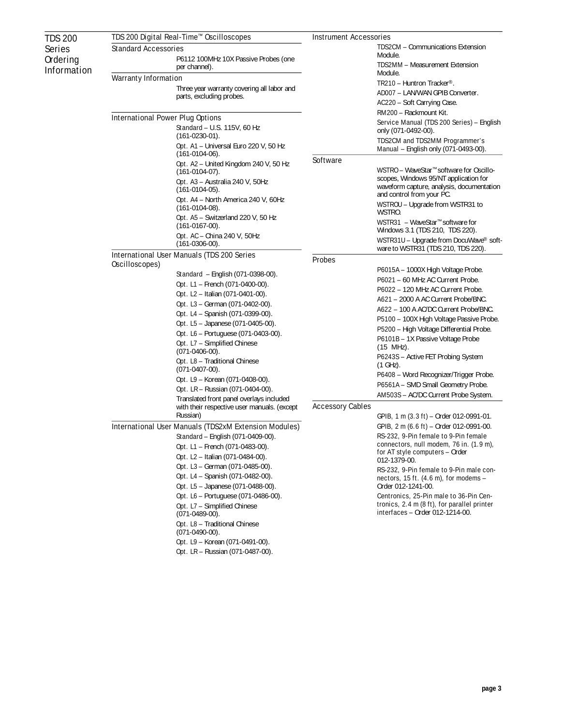| <b>TDS 200</b>     | TDS 200 Digital Real-Time™ Oscilloscopes                     |                                                                             | <b>Instrument Accessories</b> |                                                                                                                                                                                                                                                                                                  |  |  |
|--------------------|--------------------------------------------------------------|-----------------------------------------------------------------------------|-------------------------------|--------------------------------------------------------------------------------------------------------------------------------------------------------------------------------------------------------------------------------------------------------------------------------------------------|--|--|
| <b>Series</b>      | <b>Standard Accessories</b>                                  |                                                                             |                               | <b>TDS2CM - Communications Extension</b>                                                                                                                                                                                                                                                         |  |  |
| <b>Ordering</b>    |                                                              | P6112 100MHz 10X Passive Probes (one                                        |                               | Module.                                                                                                                                                                                                                                                                                          |  |  |
| <b>Information</b> |                                                              | per channel).                                                               |                               | <b>TDS2MM - Measurement Extension</b><br>Module.                                                                                                                                                                                                                                                 |  |  |
|                    | <b>Warranty Information</b>                                  |                                                                             |                               | <b>TR210 - Huntron Tracker<sup>®</sup>.</b>                                                                                                                                                                                                                                                      |  |  |
|                    |                                                              | Three year warranty covering all labor and<br>parts, excluding probes.      |                               | AD007 - LAN/WAN GPIB Converter.                                                                                                                                                                                                                                                                  |  |  |
|                    |                                                              |                                                                             |                               | <b>AC220 –</b> Soft Carrying Case.                                                                                                                                                                                                                                                               |  |  |
|                    |                                                              |                                                                             |                               | RM200 - Rackmount Kit.                                                                                                                                                                                                                                                                           |  |  |
|                    | <b>International Power Plug Options</b>                      |                                                                             |                               | Service Manual (TDS 200 Series) – English                                                                                                                                                                                                                                                        |  |  |
|                    | <b>Standard - U.S. 115V, 60 Hz</b>                           |                                                                             |                               | only (071-0492-00).                                                                                                                                                                                                                                                                              |  |  |
|                    |                                                              | $(161-0230-01)$ .<br>Opt. A1 - Universal Euro 220 V, 50 Hz                  |                               | <b>TDS2CM and TDS2MM Programmer's</b>                                                                                                                                                                                                                                                            |  |  |
|                    |                                                              | $(161-0104-06)$ .                                                           |                               | Manual - English only (071-0493-00).                                                                                                                                                                                                                                                             |  |  |
|                    |                                                              | Opt. A2 - United Kingdom 240 V, 50 Hz<br>$(161-0104-07)$ .                  | <b>Software</b>               | WSTRO - WaveStar™ software for Oscillo-<br>scopes, Windows 95/NT application for<br>waveform capture, analysis, documentation<br>and control from your PC.<br><b>WSTROU</b> - Upgrade from WSTR31 to<br>WSTRO.<br>WSTR31 - WaveStar <sup>™</sup> software for<br>Windows 3.1 (TDS 210, TDS 220). |  |  |
|                    |                                                              | <b>Opt. A3 –</b> Australia 240 V, 50Hz<br>$(161-0104-05)$ .                 |                               |                                                                                                                                                                                                                                                                                                  |  |  |
|                    |                                                              | Opt. A4 - North America 240 V, 60Hz<br>$(161-0104-08)$ .                    |                               |                                                                                                                                                                                                                                                                                                  |  |  |
|                    |                                                              | Opt. A5 - Switzerland 220 V, 50 Hz<br>$(161-0167-00)$ .                     |                               |                                                                                                                                                                                                                                                                                                  |  |  |
|                    |                                                              | Opt. AC - China 240 V, 50Hz<br>$(161-0306-00)$ .                            |                               | WSTR31U - Upgrade from DocuWave® soft-<br>ware to WSTR31 (TDS 210, TDS 220).                                                                                                                                                                                                                     |  |  |
|                    | <b>International User Manuals (TDS 200 Series</b>            |                                                                             | <b>Probes</b>                 |                                                                                                                                                                                                                                                                                                  |  |  |
|                    |                                                              | Oscilloscopes)                                                              |                               | <b>P6015A –</b> 1000X High Voltage Probe.                                                                                                                                                                                                                                                        |  |  |
|                    |                                                              | <b>Standard</b> – English (071-0398-00).<br>Opt. L1 - French (071-0400-00). |                               | P6021 - 60 MHz AC Current Probe.                                                                                                                                                                                                                                                                 |  |  |
|                    |                                                              | <b>Opt. L2</b> – Italian (071-0401-00).                                     |                               | P6022 - 120 MHz AC Current Probe.                                                                                                                                                                                                                                                                |  |  |
|                    |                                                              | <b>Opt. L3 – German (071-0402-00).</b>                                      |                               | A621 - 2000 A AC Current Probe/BNC.                                                                                                                                                                                                                                                              |  |  |
|                    |                                                              | Opt. L4 - Spanish (071-0399-00).                                            |                               | A622 - 100 A AC/DC Current Probe/BNC.                                                                                                                                                                                                                                                            |  |  |
|                    |                                                              | Opt. L5 - Japanese (071-0405-00).                                           |                               | P5100 - 100X High Voltage Passive Probe.                                                                                                                                                                                                                                                         |  |  |
|                    |                                                              | <b>Opt. L6 - Portuguese (071-0403-00).</b>                                  |                               | <b>P5200</b> – High Voltage Differential Probe.                                                                                                                                                                                                                                                  |  |  |
|                    |                                                              | Opt. L7 - Simplified Chinese<br>$(071-0406-00)$ .                           |                               | P6101B - 1X Passive Voltage Probe<br>(15 MHz).                                                                                                                                                                                                                                                   |  |  |
|                    |                                                              | Opt. L8 - Traditional Chinese<br>$(071-0407-00)$ .                          |                               | P6243S - Active FET Probing System<br>(1 GHz).                                                                                                                                                                                                                                                   |  |  |
|                    |                                                              | <b>Opt. L9 – Korean (071-0408-00).</b>                                      |                               | P6408 - Word Recognizer/Trigger Probe.                                                                                                                                                                                                                                                           |  |  |
|                    |                                                              | <b>Opt. LR</b> – Russian (071-0404-00).                                     |                               | P6561A - SMD Small Geometry Probe.                                                                                                                                                                                                                                                               |  |  |
|                    |                                                              | Translated front panel overlays included                                    |                               | AM503S - AC/DC Current Probe System.                                                                                                                                                                                                                                                             |  |  |
|                    |                                                              | with their respective user manuals. (except                                 | <b>Accessory Cables</b>       |                                                                                                                                                                                                                                                                                                  |  |  |
|                    | Russian)                                                     |                                                                             |                               | GPIB, 1 m $(3.3 \text{ ft})$ – Order 012-0991-01.                                                                                                                                                                                                                                                |  |  |
|                    | <b>International User Manuals (TDS2xM Extension Modules)</b> |                                                                             |                               | GPIB, 2 m (6.6 ft) – Order 012-0991-00.                                                                                                                                                                                                                                                          |  |  |
|                    |                                                              | <b>Standard - English (071-0409-00).</b>                                    |                               | RS-232, 9-Pin female to 9-Pin female<br>connectors, null modem, 76 in. (1.9 m),                                                                                                                                                                                                                  |  |  |
|                    |                                                              | Opt. L1 - French (071-0483-00).                                             |                               | for AT style computers - Order                                                                                                                                                                                                                                                                   |  |  |
|                    |                                                              | Opt. L2 - Italian (071-0484-00).                                            |                               | 012-1379-00.                                                                                                                                                                                                                                                                                     |  |  |
|                    |                                                              | Opt. L3 - German (071-0485-00).                                             |                               | RS-232, 9-Pin female to 9-Pin male con-                                                                                                                                                                                                                                                          |  |  |
|                    |                                                              | Opt. L4 - Spanish (071-0482-00).                                            |                               | nectors, 15 ft. $(4.6 \text{ m})$ , for modems $-$                                                                                                                                                                                                                                               |  |  |
|                    |                                                              | Opt. L5 - Japanese (071-0488-00).<br>Opt. L6 - Portuguese (071-0486-00).    |                               | Order 012-1241-00.<br>Centronics, 25-Pin male to 36-Pin Cen-                                                                                                                                                                                                                                     |  |  |
|                    |                                                              | Opt. L7 - Simplified Chinese<br>$(071-0489-00)$ .                           |                               | tronics, 2.4 m (8 ft), for parallel printer<br>interfaces - Order 012-1214-00.                                                                                                                                                                                                                   |  |  |
|                    |                                                              | Opt. L8 - Traditional Chinese<br>$(071-0490-00)$ .                          |                               |                                                                                                                                                                                                                                                                                                  |  |  |
|                    |                                                              | Opt. L9 - Korean (071-0491-00).                                             |                               |                                                                                                                                                                                                                                                                                                  |  |  |
|                    |                                                              | Opt. LR - Russian (071-0487-00).                                            |                               |                                                                                                                                                                                                                                                                                                  |  |  |